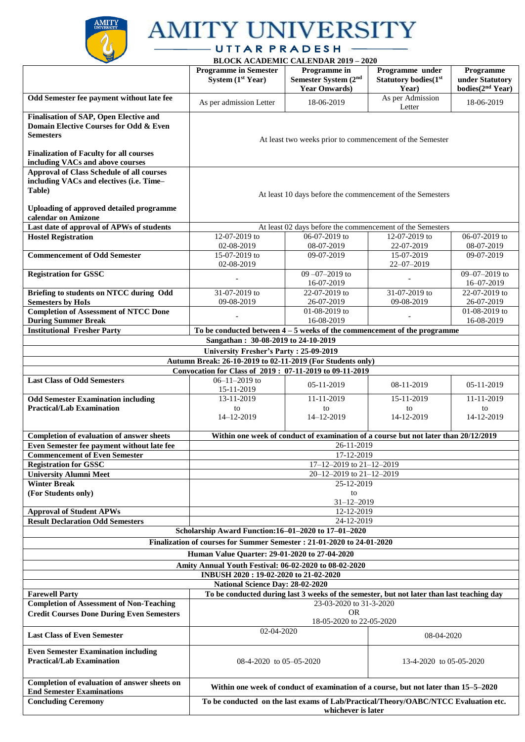

## **AMITY UNIVERSITY**

UTTARPRADESH<br>BLOCK ACADEMIC CALENDAR 2019 – 2020

|                                                                                                                                                                                  |                                                                                                   | BLOCK ACADEMIC CALENDAR 2019 – 2020                                                       |                                                          |                                                              |
|----------------------------------------------------------------------------------------------------------------------------------------------------------------------------------|---------------------------------------------------------------------------------------------------|-------------------------------------------------------------------------------------------|----------------------------------------------------------|--------------------------------------------------------------|
|                                                                                                                                                                                  | <b>Programme in Semester</b><br>System (1st Year)                                                 | Programme in<br>Semester System (2nd<br><b>Year Onwards)</b>                              | Programme under<br><b>Statutory bodies</b> (1st<br>Year) | Programme<br>under Statutory<br>bodies(2 <sup>nd</sup> Year) |
| Odd Semester fee payment without late fee                                                                                                                                        | As per admission Letter                                                                           | 18-06-2019                                                                                | As per Admission<br>Letter                               | 18-06-2019                                                   |
| Finalisation of SAP, Open Elective and<br>Domain Elective Courses for Odd & Even<br><b>Semesters</b><br><b>Finalization of Faculty for all courses</b>                           | At least two weeks prior to commencement of the Semester                                          |                                                                                           |                                                          |                                                              |
| including VACs and above courses                                                                                                                                                 |                                                                                                   |                                                                                           |                                                          |                                                              |
| <b>Approval of Class Schedule of all courses</b><br>including VACs and electives (i.e. Time-<br>Table)<br><b>Uploading of approved detailed programme</b><br>calendar on Amizone | At least 10 days before the commencement of the Semesters                                         |                                                                                           |                                                          |                                                              |
| Last date of approval of APWs of students                                                                                                                                        |                                                                                                   | At least 02 days before the commencement of the Semesters                                 |                                                          |                                                              |
| <b>Hostel Registration</b>                                                                                                                                                       | 12-07-2019 to                                                                                     | $06-07-2019$ to                                                                           | 12-07-2019 to                                            | 06-07-2019 to                                                |
|                                                                                                                                                                                  |                                                                                                   |                                                                                           |                                                          |                                                              |
|                                                                                                                                                                                  | 02-08-2019                                                                                        | 08-07-2019                                                                                | 22-07-2019                                               | 08-07-2019                                                   |
| <b>Commencement of Odd Semester</b>                                                                                                                                              | 15-07-2019 to                                                                                     | 09-07-2019                                                                                | 15-07-2019                                               | 09-07-2019                                                   |
|                                                                                                                                                                                  | 02-08-2019                                                                                        |                                                                                           | $22 - 07 - 2019$                                         |                                                              |
| <b>Registration for GSSC</b>                                                                                                                                                     |                                                                                                   | $09 - 07 - 2019$ to                                                                       |                                                          | 09-07-2019 to                                                |
|                                                                                                                                                                                  |                                                                                                   | 16-07-2019                                                                                |                                                          | $16 - 07 - 2019$                                             |
| Briefing to students on NTCC during Odd                                                                                                                                          | 31-07-2019 to                                                                                     | 22-07-2019 to                                                                             | 31-07-2019 to                                            | 22-07-2019 to                                                |
| <b>Semesters by HoIs</b>                                                                                                                                                         | 09-08-2019                                                                                        | 26-07-2019                                                                                | 09-08-2019                                               | 26-07-2019                                                   |
| <b>Completion of Assessment of NTCC Done</b>                                                                                                                                     |                                                                                                   | 01-08-2019 to                                                                             |                                                          | 01-08-2019 to                                                |
| <b>During Summer Break</b>                                                                                                                                                       |                                                                                                   | 16-08-2019                                                                                |                                                          | 16-08-2019                                                   |
| <b>Institutional Fresher Party</b>                                                                                                                                               | To be conducted between $4-5$ weeks of the commencement of the programme                          |                                                                                           |                                                          |                                                              |
| Sangathan: 30-08-2019 to 24-10-2019                                                                                                                                              |                                                                                                   |                                                                                           |                                                          |                                                              |
| University Fresher's Party: 25-09-2019                                                                                                                                           |                                                                                                   |                                                                                           |                                                          |                                                              |
| Autumn Break: 26-10-2019 to 02-11-2019 (For Students only)                                                                                                                       |                                                                                                   |                                                                                           |                                                          |                                                              |
|                                                                                                                                                                                  | Convocation for Class of 2019: 07-11-2019 to 09-11-2019                                           |                                                                                           |                                                          |                                                              |
| <b>Last Class of Odd Semesters</b>                                                                                                                                               | $06 - 11 - 2019$ to                                                                               |                                                                                           |                                                          |                                                              |
|                                                                                                                                                                                  | 15-11-2019                                                                                        | 05-11-2019                                                                                | 08-11-2019                                               | 05-11-2019                                                   |
| <b>Odd Semester Examination including</b>                                                                                                                                        | 13-11-2019                                                                                        | 11-11-2019                                                                                | 15-11-2019                                               | 11-11-2019                                                   |
| <b>Practical/Lab Examination</b>                                                                                                                                                 | to                                                                                                | to                                                                                        | to                                                       | to                                                           |
|                                                                                                                                                                                  | 14-12-2019                                                                                        | 14-12-2019                                                                                | 14-12-2019                                               | 14-12-2019                                                   |
|                                                                                                                                                                                  |                                                                                                   |                                                                                           |                                                          |                                                              |
| <b>Completion of evaluation of answer sheets</b>                                                                                                                                 |                                                                                                   |                                                                                           |                                                          |                                                              |
| Even Semester fee payment without late fee                                                                                                                                       | Within one week of conduct of examination of a course but not later than 20/12/2019<br>26-11-2019 |                                                                                           |                                                          |                                                              |
| <b>Commencement of Even Semester</b>                                                                                                                                             | 17-12-2019                                                                                        |                                                                                           |                                                          |                                                              |
| <b>Registration for GSSC</b>                                                                                                                                                     | 17-12-2019 to 21-12-2019                                                                          |                                                                                           |                                                          |                                                              |
| <b>University Alumni Meet</b>                                                                                                                                                    |                                                                                                   |                                                                                           |                                                          |                                                              |
| <b>Winter Break</b>                                                                                                                                                              | 20-12-2019 to 21-12-2019<br>25-12-2019                                                            |                                                                                           |                                                          |                                                              |
| (For Students only)                                                                                                                                                              |                                                                                                   | to                                                                                        |                                                          |                                                              |
|                                                                                                                                                                                  |                                                                                                   |                                                                                           |                                                          |                                                              |
| <b>Approval of Student APWs</b>                                                                                                                                                  | $31 - 12 - 2019$                                                                                  |                                                                                           |                                                          |                                                              |
| <b>Result Declaration Odd Semesters</b>                                                                                                                                          | 12-12-2019                                                                                        |                                                                                           |                                                          |                                                              |
|                                                                                                                                                                                  |                                                                                                   | 24-12-2019                                                                                |                                                          |                                                              |
|                                                                                                                                                                                  | Scholarship Award Function:16-01-2020 to 17-01-2020                                               |                                                                                           |                                                          |                                                              |
|                                                                                                                                                                                  | Finalization of courses for Summer Semester: 21-01-2020 to 24-01-2020                             |                                                                                           |                                                          |                                                              |
|                                                                                                                                                                                  | Human Value Quarter: 29-01-2020 to 27-04-2020                                                     |                                                                                           |                                                          |                                                              |
|                                                                                                                                                                                  | Amity Annual Youth Festival: 06-02-2020 to 08-02-2020                                             |                                                                                           |                                                          |                                                              |
|                                                                                                                                                                                  | INBUSH 2020: 19-02-2020 to 21-02-2020                                                             |                                                                                           |                                                          |                                                              |
|                                                                                                                                                                                  | National Science Day: 28-02-2020                                                                  |                                                                                           |                                                          |                                                              |
| <b>Farewell Party</b>                                                                                                                                                            |                                                                                                   | To be conducted during last 3 weeks of the semester, but not later than last teaching day |                                                          |                                                              |
| <b>Completion of Assessment of Non-Teaching</b>                                                                                                                                  |                                                                                                   |                                                                                           |                                                          |                                                              |
|                                                                                                                                                                                  | 23-03-2020 to 31-3-2020<br><b>OR</b>                                                              |                                                                                           |                                                          |                                                              |
| <b>Credit Courses Done During Even Semesters</b>                                                                                                                                 | 18-05-2020 to 22-05-2020                                                                          |                                                                                           |                                                          |                                                              |
| <b>Last Class of Even Semester</b>                                                                                                                                               | 02-04-2020<br>08-04-2020                                                                          |                                                                                           |                                                          |                                                              |
| <b>Even Semester Examination including</b>                                                                                                                                       |                                                                                                   |                                                                                           |                                                          |                                                              |
| <b>Practical/Lab Examination</b>                                                                                                                                                 | 08-4-2020 to 05-05-2020                                                                           |                                                                                           |                                                          |                                                              |
|                                                                                                                                                                                  |                                                                                                   |                                                                                           | 13-4-2020 to 05-05-2020                                  |                                                              |
|                                                                                                                                                                                  |                                                                                                   |                                                                                           |                                                          |                                                              |
| Completion of evaluation of answer sheets on                                                                                                                                     |                                                                                                   |                                                                                           |                                                          |                                                              |
| <b>End Semester Examinations</b>                                                                                                                                                 | Within one week of conduct of examination of a course, but not later than 15–5–2020               |                                                                                           |                                                          |                                                              |
| <b>Concluding Ceremony</b>                                                                                                                                                       | To be conducted on the last exams of Lab/Practical/Theory/OABC/NTCC Evaluation etc.               |                                                                                           |                                                          |                                                              |
|                                                                                                                                                                                  |                                                                                                   | whichever is later                                                                        |                                                          |                                                              |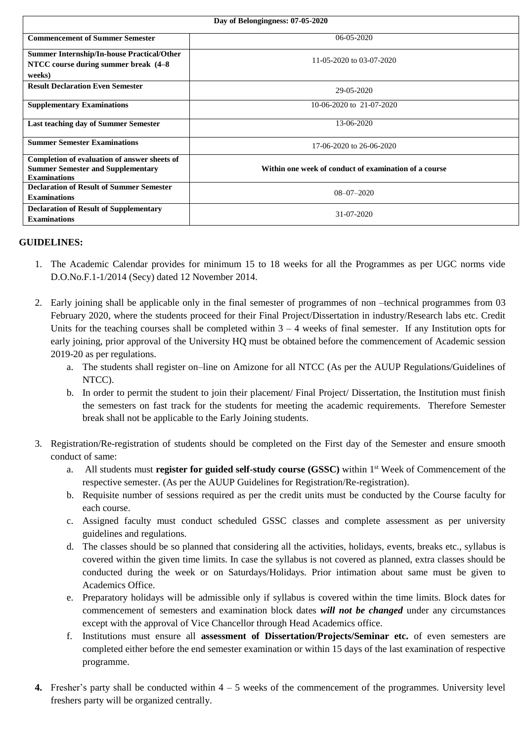| Day of Belongingness: 07-05-2020                                                         |                                                       |  |  |
|------------------------------------------------------------------------------------------|-------------------------------------------------------|--|--|
| <b>Commencement of Summer Semester</b>                                                   | $06 - 05 - 2020$                                      |  |  |
| <b>Summer Internship/In-house Practical/Other</b>                                        | 11-05-2020 to 03-07-2020                              |  |  |
| NTCC course during summer break (4-8)                                                    |                                                       |  |  |
| weeks)                                                                                   |                                                       |  |  |
| <b>Result Declaration Even Semester</b>                                                  | 29-05-2020                                            |  |  |
| <b>Supplementary Examinations</b>                                                        | 10-06-2020 to 21-07-2020                              |  |  |
| <b>Last teaching day of Summer Semester</b>                                              | 13-06-2020                                            |  |  |
| <b>Summer Semester Examinations</b>                                                      | 17-06-2020 to 26-06-2020                              |  |  |
| Completion of evaluation of answer sheets of<br><b>Summer Semester and Supplementary</b> | Within one week of conduct of examination of a course |  |  |
| <b>Examinations</b>                                                                      |                                                       |  |  |
| <b>Declaration of Result of Summer Semester</b>                                          | $08 - 07 - 2020$                                      |  |  |
| <b>Examinations</b>                                                                      |                                                       |  |  |
| <b>Declaration of Result of Supplementary</b>                                            | 31-07-2020                                            |  |  |
| <b>Examinations</b>                                                                      |                                                       |  |  |

## **GUIDELINES:**

- 1. The Academic Calendar provides for minimum 15 to 18 weeks for all the Programmes as per UGC norms vide D.O.No.F.1-1/2014 (Secy) dated 12 November 2014.
- 2. Early joining shall be applicable only in the final semester of programmes of non –technical programmes from 03 February 2020, where the students proceed for their Final Project/Dissertation in industry/Research labs etc. Credit Units for the teaching courses shall be completed within  $3 - 4$  weeks of final semester. If any Institution opts for early joining, prior approval of the University HQ must be obtained before the commencement of Academic session 2019-20 as per regulations.
	- a. The students shall register on–line on Amizone for all NTCC (As per the AUUP Regulations/Guidelines of NTCC).
	- b. In order to permit the student to join their placement/ Final Project/ Dissertation, the Institution must finish the semesters on fast track for the students for meeting the academic requirements. Therefore Semester break shall not be applicable to the Early Joining students.
- 3. Registration/Re-registration of students should be completed on the First day of the Semester and ensure smooth conduct of same:
	- a. All students must **register for guided self-study course (GSSC)** within 1st Week of Commencement of the respective semester. (As per the AUUP Guidelines for Registration/Re-registration).
	- b. Requisite number of sessions required as per the credit units must be conducted by the Course faculty for each course.
	- c. Assigned faculty must conduct scheduled GSSC classes and complete assessment as per university guidelines and regulations.
	- d. The classes should be so planned that considering all the activities, holidays, events, breaks etc., syllabus is covered within the given time limits. In case the syllabus is not covered as planned, extra classes should be conducted during the week or on Saturdays/Holidays. Prior intimation about same must be given to Academics Office.
	- e. Preparatory holidays will be admissible only if syllabus is covered within the time limits. Block dates for commencement of semesters and examination block dates *will not be changed* under any circumstances except with the approval of Vice Chancellor through Head Academics office.
	- f. Institutions must ensure all **assessment of Dissertation/Projects/Seminar etc.** of even semesters are completed either before the end semester examination or within 15 days of the last examination of respective programme.
- **4.** Fresher's party shall be conducted within  $4 5$  weeks of the commencement of the programmes. University level freshers party will be organized centrally.